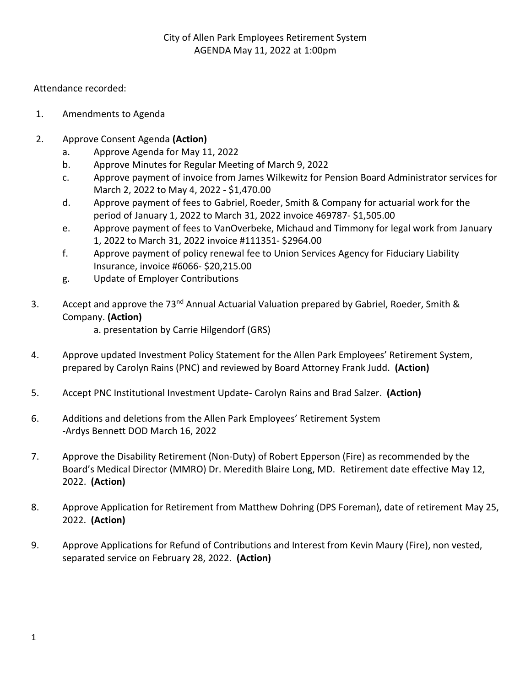## City of Allen Park Employees Retirement System AGENDA May 11, 2022 at 1:00pm

Attendance recorded:

- 1. Amendments to Agenda
- 2. Approve Consent Agenda **(Action)**
	- a. Approve Agenda for May 11, 2022
	- b. Approve Minutes for Regular Meeting of March 9, 2022
	- c. Approve payment of invoice from James Wilkewitz for Pension Board Administrator services for March 2, 2022 to May 4, 2022 - \$1,470.00
	- d. Approve payment of fees to Gabriel, Roeder, Smith & Company for actuarial work for the period of January 1, 2022 to March 31, 2022 invoice 469787- \$1,505.00
	- e. Approve payment of fees to VanOverbeke, Michaud and Timmony for legal work from January 1, 2022 to March 31, 2022 invoice #111351- \$2964.00
	- f. Approve payment of policy renewal fee to Union Services Agency for Fiduciary Liability Insurance, invoice #6066- \$20,215.00
	- g. Update of Employer Contributions
- 3. Accept and approve the 73<sup>nd</sup> Annual Actuarial Valuation prepared by Gabriel, Roeder, Smith & Company. **(Action)**

a. presentation by Carrie Hilgendorf (GRS)

- 4. Approve updated Investment Policy Statement for the Allen Park Employees' Retirement System, prepared by Carolyn Rains (PNC) and reviewed by Board Attorney Frank Judd. **(Action)**
- 5. Accept PNC Institutional Investment Update- Carolyn Rains and Brad Salzer. **(Action)**
- 6. Additions and deletions from the Allen Park Employees' Retirement System -Ardys Bennett DOD March 16, 2022
- 7. Approve the Disability Retirement (Non-Duty) of Robert Epperson (Fire) as recommended by the Board's Medical Director (MMRO) Dr. Meredith Blaire Long, MD. Retirement date effective May 12, 2022. **(Action)**
- 8. Approve Application for Retirement from Matthew Dohring (DPS Foreman), date of retirement May 25, 2022. **(Action)**
- 9. Approve Applications for Refund of Contributions and Interest from Kevin Maury (Fire), non vested, separated service on February 28, 2022. **(Action)**